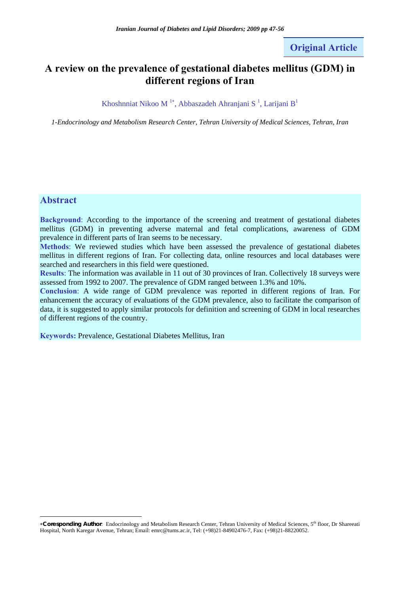# **Original Article**

# **A review on the prevalence of gestational diabetes mellitus (GDM) in different regions of Iran**

#### Khoshnniat Nikoo M<sup>1\*</sup>, Abbaszadeh Ahranjani S<sup>1</sup>, Larijani B<sup>1</sup>

*1-Endocrinology and Metabolism Research Center, Tehran University of Medical Sciences, Tehran, Iran* 

## **Abstract**

 $\overline{a}$ 

**Background**: According to the importance of the screening and treatment of gestational diabetes mellitus (GDM) in preventing adverse maternal and fetal complications, awareness of GDM prevalence in different parts of Iran seems to be necessary.

**Methods**: We reviewed studies which have been assessed the prevalence of gestational diabetes mellitus in different regions of Iran. For collecting data, online resources and local databases were searched and researchers in this field were questioned.

**Results**: The information was available in 11 out of 30 provinces of Iran. Collectively 18 surveys were assessed from 1992 to 2007. The prevalence of GDM ranged between 1.3% and 10%.

**Conclusion**: A wide range of GDM prevalence was reported in different regions of Iran. For enhancement the accuracy of evaluations of the GDM prevalence, also to facilitate the comparison of data, it is suggested to apply similar protocols for definition and screening of GDM in local researches of different regions of the country.

**Keywords:** Prevalence, Gestational Diabetes Mellitus, Iran

<sup>∗</sup>**Coresponding Author**: Endocrinology and Metabolism Research Center, Tehran University of Medical Sciences, 5th floor, Dr Shareeati Hospital, North Karegar Avenue, Tehran; Email: emrc@tums.ac.ir, Tel: (+98)21-84902476-7, Fax: (+98)21-88220052.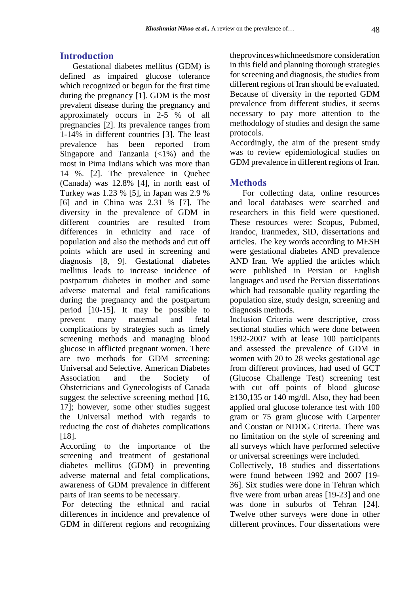### **Introduction**

Gestational diabetes mellitus (GDM) is defined as impaired glucose tolerance which recognized or begun for the first time during the pregnancy [1]. GDM is the most prevalent disease during the pregnancy and approximately occurs in 2-5 % of all pregnancies [2]. Its prevalence ranges from 1-14% in different countries [3]. The least prevalence has been reported from Singapore and Tanzania  $\left( \langle 1\% \rangle \right)$  and the most in Pima Indians which was more than 14 %. [2]. The prevalence in Quebec (Canada) was 12.8% [4], in north east of Turkey was 1.23 % [5], in Japan was 2.9 % [6] and in China was 2.31 % [7]. The diversity in the prevalence of GDM in different countries are resulted from differences in ethnicity and race of population and also the methods and cut off points which are used in screening and diagnosis [8, 9]. Gestational diabetes mellitus leads to increase incidence of postpartum diabetes in mother and some adverse maternal and fetal ramifications during the pregnancy and the postpartum period [10-15]. It may be possible to prevent many maternal and fetal complications by strategies such as timely screening methods and managing blood glucose in afflicted pregnant women. There are two methods for GDM screening: Universal and Selective. American Diabetes Association and the Society of Obstetricians and Gynecologists of Canada suggest the selective screening method [16, 17]; however, some other studies suggest the Universal method with regards to reducing the cost of diabetes complications [18].

According to the importance of the screening and treatment of gestational diabetes mellitus (GDM) in preventing adverse maternal and fetal complications, awareness of GDM prevalence in different parts of Iran seems to be necessary.

 For detecting the ethnical and racial differences in incidence and prevalence of GDM in different regions and recognizing theprovinceswhichneedsmore consideration in this field and planning thorough strategies for screening and diagnosis, the studies from different regions of Iran should be evaluated. Because of diversity in the reported GDM prevalence from different studies, it seems necessary to pay more attention to the methodology of studies and design the same protocols.

Accordingly, the aim of the present study was to review epidemiological studies on GDM prevalence in different regions of Iran.

#### **Methods**

For collecting data, online resources and local databases were searched and researchers in this field were questioned. These resources were: Scopus, Pubmed, Irandoc, Iranmedex, SID, dissertations and articles. The key words according to MESH were gestational diabetes AND prevalence AND Iran. We applied the articles which were published in Persian or English languages and used the Persian dissertations which had reasonable quality regarding the population size, study design, screening and diagnosis methods.

Inclusion Criteria were descriptive, cross sectional studies which were done between 1992-2007 with at lease 100 participants and assessed the prevalence of GDM in women with 20 to 28 weeks gestational age from different provinces, had used of GCT (Glucose Challenge Test) screening test with cut off points of blood glucose  $≥130,135$  or 140 mg/dl. Also, they had been applied oral glucose tolerance test with 100 gram or 75 gram glucose with Carpenter and Coustan or NDDG Criteria. There was no limitation on the style of screening and all surveys which have performed selective or universal screenings were included.

Collectively, 18 studies and dissertations were found between 1992 and 2007 [19- 36]. Six studies were done in Tehran which five were from urban areas [19-23] and one was done in suburbs of Tehran [24]. Twelve other surveys were done in other different provinces. Four dissertations were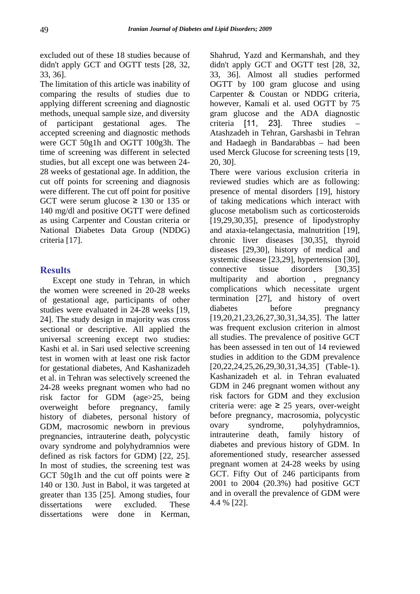excluded out of these 18 studies because of didn't apply GCT and OGTT tests [28, 32, 33, 36].

The limitation of this article was inability of comparing the results of studies due to applying different screening and diagnostic methods, unequal sample size, and diversity of participant gestational ages. The accepted screening and diagnostic methods were GCT 50g1h and OGTT 100g3h. The time of screening was different in selected studies, but all except one was between 24- 28 weeks of gestational age. In addition, the cut off points for screening and diagnosis were different. The cut off point for positive GCT were serum glucose  $\geq$  130 or 135 or 140 mg/dl and positive OGTT were defined as using Carpenter and Coustan criteria or National Diabetes Data Group (NDDG) criteria [17].

## **Results**

Except one study in Tehran, in which the women were screened in 20-28 weeks of gestational age, participants of other studies were evaluated in 24-28 weeks [19, 24]. The study design in majority was cross sectional or descriptive. All applied the universal screening except two studies: Kashi et al. in Sari used selective screening test in women with at least one risk factor for gestational diabetes, And Kashanizadeh et al. in Tehran was selectively screened the 24-28 weeks pregnant women who had no risk factor for GDM (age>25, being overweight before pregnancy, family history of diabetes, personal history of GDM, macrosomic newborn in previous pregnancies, intrauterine death, polycystic ovary syndrome and polyhydramnios were defined as risk factors for GDM) [22, 25]. In most of studies, the screening test was GCT 50g1h and the cut off points were  $\geq$ 140 or 130. Just in Babol, it was targeted at greater than 135 [25]. Among studies, four dissertations were excluded. These dissertations were done in Kerman,

Shahrud, Yazd and Kermanshah, and they didn't apply GCT and OGTT test [28, 32, 33, 36]. Almost all studies performed OGTT by 100 gram glucose and using Carpenter & Coustan or NDDG criteria, however, Kamali et al. used OGTT by 75 gram glucose and the ADA diagnostic criteria [11, 23]. Three studies – Atashzadeh in Tehran, Garshasbi in Tehran and Hadaegh in Bandarabbas – had been used Merck Glucose for screening tests [19, 20, 30].

There were various exclusion criteria in reviewed studies which are as following: presence of mental disorders [19], history of taking medications which interact with glucose metabolism such as corticosteroids [19,29,30,35], presence of lipodystrophy and ataxia-telangectasia, malnutrition [19], chronic liver diseases [30,35], thyroid diseases [29,30], history of medical and systemic disease [23,29], hypertension [30], connective tissue disorders [30,35] multiparity and abortion , pregnancy complications which necessitate urgent termination [27], and history of overt diabetes before pregnancy [19,20,21,23,26,27,30,31,34,35]. The latter was frequent exclusion criterion in almost all studies. The prevalence of positive GCT has been assessed in ten out of 14 reviewed studies in addition to the GDM prevalence [20,22,24,25,26,29,30,31,34,35] (Table-1). Kashanizadeh et al. in Tehran evaluated GDM in 246 pregnant women without any risk factors for GDM and they exclusion criteria were: age  $\geq$  25 years, over-weight before pregnancy, macrosomia, polycystic ovary syndrome, polyhydramnios, intrauterine death, family history of diabetes and previous history of GDM. In aforementioned study, researcher assessed pregnant women at 24-28 weeks by using GCT. Fifty Out of 246 participants from 2001 to 2004 (20.3%) had positive GCT and in overall the prevalence of GDM were 4.4 % [22].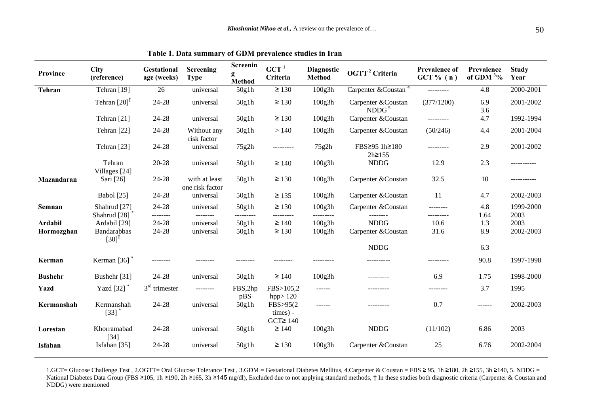| Province       | <b>City</b><br>(reference)                           | Gestational<br>age (weeks) | Screening<br><b>Type</b>         | Screenin<br>g<br>Method | $GCT$ <sup>1</sup><br>Criteria         | <b>Diagnostic</b><br><b>Method</b> | OGTT <sup>2</sup> Criteria               | <b>Prevalence of</b><br>GCT $% (n)$ | <b>Prevalence</b><br>of GDM $3\%$ | <b>Study</b><br>Year |
|----------------|------------------------------------------------------|----------------------------|----------------------------------|-------------------------|----------------------------------------|------------------------------------|------------------------------------------|-------------------------------------|-----------------------------------|----------------------|
| Tehran         | Tehran [19]                                          | 26                         | universal                        | 50g1h                   | $\geq 130$                             | 100g3h                             | Carpenter & Coustan $4$                  | ---------                           | 4.8                               | $2000 - 2001$        |
|                | Tehran $[20]$ <sup>†</sup>                           | 24-28                      | universal                        | 50g1h                   | $\geq 130$                             | 100g3h                             | Carpenter & Coustan<br>NDDG <sup>5</sup> | (377/1200)                          | 6.9<br>3.6                        | 2001-2002            |
|                | Tehran [21]                                          | 24-28                      | universal                        | 50g1h                   | $\geq 130$                             | 100g3h                             | Carpenter & Coustan                      |                                     | 4.7                               | 1992-1994            |
|                | Tehran [22]                                          | 24-28                      | Without any<br>risk factor       | 50g1h                   | >140                                   | 100g3h                             | Carpenter & Coustan                      | (50/246)                            | 4.4                               | 2001-2004            |
|                | Tehran [23]                                          | 24-28                      | universal                        | 75g2h                   | ---------                              | 75g2h                              | FBS≥95 1h≥180<br>$2h \ge 155$            | ---------                           | 2.9                               | 2001-2002            |
|                | Tehran<br>Villages [24]                              | 20-28                      | universal                        | 50g1h                   | $\geq 140$                             | 100g3h                             | <b>NDDG</b>                              | 12.9                                | 2.3                               | -----------          |
| Mazandaran     | Sari [26]                                            | 24-28                      | with at least<br>one risk factor | 50g1h                   | $\geq 130$                             | 100g3h                             | Carpenter & Coustan                      | 32.5                                | 10                                | -----------          |
|                | <b>Babol</b> [25]                                    | 24-28                      | universal                        | 50g1h                   | $\geq 135$                             | 100g3h                             | Carpenter & Coustan                      | 11                                  | 4.7                               | 2002-2003            |
| Semnan         | Shahrud [27]<br>Shahrud <sup>[28]</sup>              | 24-28<br>--------          | universal<br>--------            | 50g1h<br>---------      | $\geq 130$<br>---------                | 100g3h<br>----------               | Carpenter & Coustan<br>---------         | --------<br>---------               | 4.8<br>1.64                       | 1999-2000<br>2003    |
| <b>Ardabil</b> | Ardabil [29]                                         | 24-28                      | universal                        | 50g1h                   | $\geq 140$                             | 100g3h                             | <b>NDDG</b>                              | 10.6                                | 1.3                               | 2003                 |
| Hormozghan     | <b>Bandarabbas</b><br>$\left[30\right]$ <sup>t</sup> | 24-28                      | universal                        | 50g1h                   | $\geq 130$                             | 100g3h                             | Carpenter & Coustan                      | 31.6                                | 8.9                               | 2002-2003            |
|                |                                                      |                            |                                  |                         |                                        |                                    | <b>NDDG</b>                              |                                     | 6.3                               |                      |
| Kerman         | Kerman $[36]$ <sup>*</sup>                           | --------                   |                                  |                         |                                        |                                    |                                          |                                     | 90.8                              | 1997-1998            |
| <b>Bushehr</b> | Bushehr [31]                                         | 24-28                      | universal                        | 50g1h                   | $\geq 140$                             | 100g3h                             |                                          | 6.9                                 | 1.75                              | 1998-2000            |
| Yazd           | Yazd [32] *                                          | $3rd$ trimester            | ---------                        | FBS,2hp<br>pBS          | FBS>105,2<br>hpp $>120$                | $- - - - - -$                      | ---------                                | --------                            | 3.7                               | 1995                 |
| Kermanshah     | Kermanshah<br>$[33]$                                 | 24-28                      | universal                        | 50g1h                   | FBS>95(2)<br>times) -<br>$GCT \ge 140$ | ------                             | ----------                               | 0.7                                 | ------                            | 2002-2003            |
| Lorestan       | Khorramabad<br>$[34]$                                | 24-28                      | universal                        | 50g1h                   | $\geq 140$                             | 100g3h                             | <b>NDDG</b>                              | (11/102)                            | 6.86                              | 2003                 |
| Isfahan        | Isfahan [35]                                         | 24-28                      | universal                        | 50g1h                   | $\geq 130$                             | 100g3h                             | Carpenter & Coustan                      | 25                                  | 6.76                              | 2002-2004            |

**Table 1. Data summary of GDM prevalence studies in Iran**

1.GCT= Glucose Challenge Test , 2.OGTT= Oral Glucose Tolerance Test , 3.GDM = Gestational Diabetes Mellitus, 4.Carpenter & Coustan = FBS <sup>≥</sup> 95, 1h ≥180, 2h <sup>≥</sup>155, 3h ≥140, 5. NDDG = National Diabetes Data Group (FBS ≥105, 1h ≥190, 2h ≥165, 3h ≥145 mg/dl), Excluded due to not applying standard methods, † In these studies both diagnostic criteria (Carpenter & Coustan and NDDG) were mentioned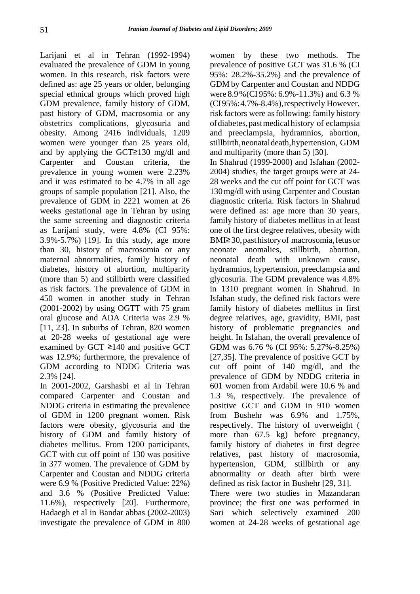Larijani et al in Tehran (1992-1994) evaluated the prevalence of GDM in young women. In this research, risk factors were defined as: age 25 years or older, belonging special ethnical groups which proved high GDM prevalence, family history of GDM, past history of GDM, macrosomia or any obstetrics complications, glycosuria and obesity. Among 2416 individuals, 1209 women were younger than 25 years old, and by applying the GCT≥130 mg/dl and Carpenter and Coustan criteria, the prevalence in young women were 2.23% and it was estimated to be 4.7% in all age groups of sample population [21]. Also, the prevalence of GDM in 2221 women at 26 weeks gestational age in Tehran by using the same screening and diagnostic criteria as Larijani study, were 4.8% (CI 95%: 3.9%-5.7%) [19]. In this study, age more than 30, history of macrosomia or any maternal abnormalities, family history of diabetes, history of abortion, multiparity (more than 5) and stillbirth were classified as risk factors. The prevalence of GDM in 450 women in another study in Tehran (2001-2002) by using OGTT with 75 gram oral glucose and ADA Criteria was 2.9 % [11, 23]. In suburbs of Tehran, 820 women at 20-28 weeks of gestational age were examined by GCT ≥140 and positive GCT was 12.9%; furthermore, the prevalence of GDM according to NDDG Criteria was 2.3% [24].

In 2001-2002, Garshasbi et al in Tehran compared Carpenter and Coustan and NDDG criteria in estimating the prevalence of GDM in 1200 pregnant women. Risk factors were obesity, glycosuria and the history of GDM and family history of diabetes mellitus. From 1200 participants, GCT with cut off point of 130 was positive in 377 women. The prevalence of GDM by Carpenter and Coustan and NDDG criteria were 6.9 % (Positive Predicted Value: 22%) and 3.6 % (Positive Predicted Value: 11.6%), respectively [20]. Furthermore, Hadaegh et al in Bandar abbas (2002-2003) investigate the prevalence of GDM in 800

women by these two methods. The prevalence of positive GCT was 31.6 % (CI 95%: 28.2%-35.2%) and the prevalence of GDM by Carpenter and Coustan and NDDG were 8.9%(CI 95%: 6.9%-11.3%) and 6.3 % (CI95%:4.7%-8.4%),respectively.However, risk factors were asfollowing: family history ofdiabetes,pastmedicalhistory of eclampsia and preeclampsia, hydramnios, abortion, stillbirth,neonataldeath,hypertension, GDM and multiparity (more than 5) [30].

In Shahrud (1999-2000) and Isfahan (2002- 2004) studies, the target groups were at 24- 28 weeks and the cut off point for GCT was 130mg/dl with using Carpenter and Coustan diagnostic criteria. Risk factors in Shahrud were defined as: age more than 30 years, family history of diabetes mellitus in at least one of the first degree relatives, obesity with BMI≥30,pasthistoryof macrosomia,fetusor neonate anomalies, stillbirth, abortion, neonatal death with unknown cause, hydramnios, hypertension, preeclampsia and glycosuria. The GDM prevalence was 4.8% in 1310 pregnant women in Shahrud. In Isfahan study, the defined risk factors were family history of diabetes mellitus in first degree relatives, age, gravidity, BMI, past history of problematic pregnancies and height. In Isfahan, the overall prevalence of GDM was 6.76 % (CI 95%: 5.27%-8.25%) [27,35]. The prevalence of positive GCT by cut off point of 140 mg/dl, and the prevalence of GDM by NDDG criteria in 601 women from Ardabil were 10.6 % and 1.3 %, respectively. The prevalence of positive GCT and GDM in 910 women from Bushehr was 6.9% and 1.75%, respectively. The history of overweight ( more than  $67.5$  kg) before pregnancy, family history of diabetes in first degree relatives, past history of macrosomia, hypertension, GDM, stillbirth or any abnormality or death after birth were defined as risk factor in Bushehr [29, 31]. There were two studies in Mazandaran province; the first one was performed in Sari which selectively examined 200 women at 24-28 weeks of gestational age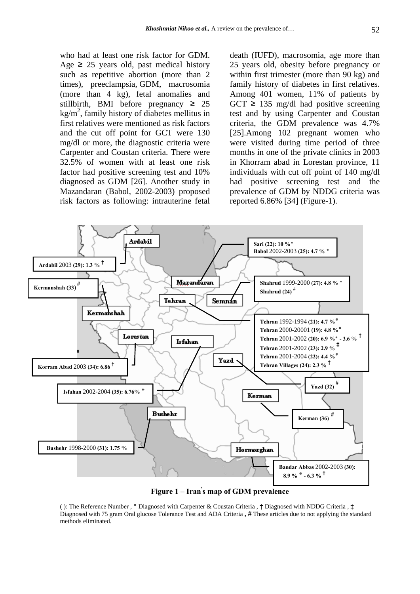who had at least one risk factor for GDM. Age  $\geq$  25 years old, past medical history such as repetitive abortion (more than 2 times), preeclampsia, GDM, macrosomia (more than 4 kg), fetal anomalies and stillbirth, BMI before pregnancy  $\geq 25$  $kg/m<sup>2</sup>$ , family history of diabetes mellitus in first relatives were mentioned as risk factors and the cut off point for GCT were 130 mg/dl or more, the diagnostic criteria were Carpenter and Coustan criteria. There were 32.5% of women with at least one risk factor had positive screening test and 10% diagnosed as GDM [26]. Another study in Mazandaran (Babol, 2002-2003) proposed risk factors as following: intrauterine fetal

death (IUFD), macrosomia, age more than 25 years old, obesity before pregnancy or within first trimester (more than 90 kg) and family history of diabetes in first relatives. Among 401 women, 11% of patients by GCT  $\geq$  135 mg/dl had positive screening test and by using Carpenter and Coustan criteria, the GDM prevalence was 4.7% [25].Among 102 pregnant women who were visited during time period of three months in one of the private clinics in 2003 in Khorram abad in Lorestan province, 11 individuals with cut off point of 140 mg/dl had positive screening test and the prevalence of GDM by NDDG criteria was reported 6.86% [34] (Figure-1).



**Figure 1 – Iran' s map of GDM prevalence** 

( ): The Reference Number , **٭** Diagnosed with Carpenter & Coustan Criteria , † Diagnosed with NDDG Criteria , ‡ Diagnosed with 75 gram Oral glucose Tolerance Test and ADA Criteria **,** # These articles due to not applying the standard methods eliminated.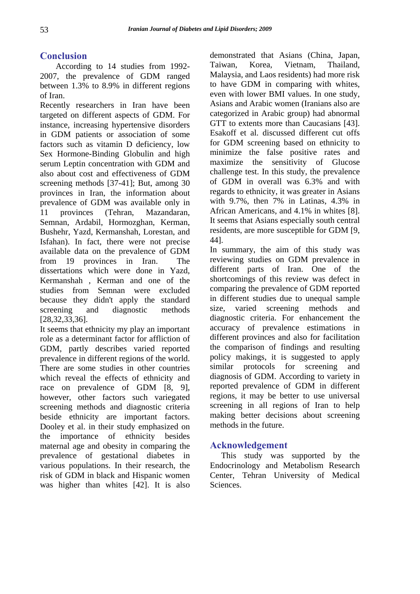# **Conclusion**

According to 14 studies from 1992- 2007, the prevalence of GDM ranged between 1.3% to 8.9% in different regions of Iran.

Recently researchers in Iran have been targeted on different aspects of GDM. For instance, increasing hypertensive disorders in GDM patients or association of some factors such as vitamin D deficiency, low Sex Hormone-Binding Globulin and high serum Leptin concentration with GDM and also about cost and effectiveness of GDM screening methods [37-41]; But, among 30 provinces in Iran, the information about prevalence of GDM was available only in 11 provinces (Tehran, Mazandaran, Semnan, Ardabil, Hormozghan, Kerman, Bushehr, Yazd, Kermanshah, Lorestan, and Isfahan). In fact, there were not precise available data on the prevalence of GDM from 19 provinces in Iran. The dissertations which were done in Yazd, Kermanshah , Kerman and one of the studies from Semnan were excluded because they didn't apply the standard screening and diagnostic methods [28,32,33,36].

It seems that ethnicity my play an important role as a determinant factor for affliction of GDM, partly describes varied reported prevalence in different regions of the world. There are some studies in other countries which reveal the effects of ethnicity and race on prevalence of GDM [8, 9], however, other factors such variegated screening methods and diagnostic criteria beside ethnicity are important factors. Dooley et al. in their study emphasized on the importance of ethnicity besides maternal age and obesity in comparing the prevalence of gestational diabetes in various populations. In their research, the risk of GDM in black and Hispanic women was higher than whites [42]. It is also

demonstrated that Asians (China, Japan, Taiwan, Korea, Vietnam, Thailand, Malaysia, and Laos residents) had more risk to have GDM in comparing with whites, even with lower BMI values. In one study, Asians and Arabic women (Iranians also are categorized in Arabic group) had abnormal GTT to extents more than Caucasians [43]. Esakoff et al. discussed different cut offs for GDM screening based on ethnicity to minimize the false positive rates and maximize the sensitivity of Glucose challenge test. In this study, the prevalence of GDM in overall was 6.3% and with regards to ethnicity, it was greater in Asians with 9.7%, then 7% in Latinas, 4.3% in African Americans, and 4.1% in whites [8]. It seems that Asians especially south central residents, are more susceptible for GDM [9, 44].

In summary, the aim of this study was reviewing studies on GDM prevalence in different parts of Iran. One of the shortcomings of this review was defect in comparing the prevalence of GDM reported in different studies due to unequal sample size, varied screening methods and diagnostic criteria. For enhancement the accuracy of prevalence estimations in different provinces and also for facilitation the comparison of findings and resulting policy makings, it is suggested to apply similar protocols for screening and diagnosis of GDM. According to variety in reported prevalence of GDM in different regions, it may be better to use universal screening in all regions of Iran to help making better decisions about screening methods in the future.

#### **Acknowledgement**

This study was supported by the Endocrinology and Metabolism Research Center, Tehran University of Medical Sciences.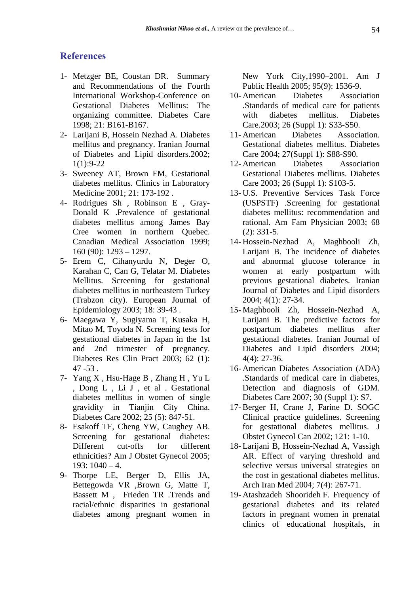## **References**

- 1- Metzger BE, Coustan DR. Summary and Recommendations of the Fourth International Workshop-Conference on Gestational Diabetes Mellitus: The organizing committee. Diabetes Care 1998; 21: B161-B167.
- 2- Larijani B, Hossein Nezhad A. Diabetes mellitus and pregnancy. Iranian Journal of Diabetes and Lipid disorders.2002; 1(1):9-22
- 3- Sweeney AT, Brown FM, Gestational diabetes mellitus. Clinics in Laboratory Medicine 2001; 21: 173-192 .
- 4- Rodrigues Sh , Robinson E , Gray-Donald K .Prevalence of gestational diabetes mellitus among James Bay Cree women in northern Quebec. Canadian Medical Association 1999; 160 (90): 1293 – 1297.
- 5- Erem C, Cihanyurdu N, Deger O, Karahan C, Can G, Telatar M. Diabetes Mellitus. Screening for gestational diabetes mellitus in northeastern Turkey (Trabzon city). European Journal of Epidemiology 2003; 18: 39-43 .
- 6- Maegawa Y, Sugiyama T, Kusaka H, Mitao M, Toyoda N. Screening tests for gestational diabetes in Japan in the 1st and 2nd trimester of pregnancy. Diabetes Res Clin Pract 2003; 62 (1): 47 -53 .
- 7- Yang X , Hsu-Hage B , Zhang H , Yu L , Dong L , Li J , et al . Gestational diabetes mellitus in women of single gravidity in Tianjin City China. Diabetes Care 2002; 25 (5): 847-51.
- 8- Esakoff TF, Cheng YW, Caughey AB. Screening for gestational diabetes: Different cut-offs for different ethnicities? Am J Obstet Gynecol 2005;  $193: 1040 - 4.$
- 9- Thorpe LE, Berger D, Ellis JA, Bettegowda VR ,Brown G, Matte T, Bassett M , Frieden TR .Trends and racial/ethnic disparities in gestational diabetes among pregnant women in

New York City,1990–2001. Am J Public Health 2005; 95(9): 1536-9.

- 10- American Diabetes Association .Standards of medical care for patients with diabetes mellitus. Diabetes Care.2003; 26 (Suppl 1): S33-S50.
- 11- American Diabetes Association. Gestational diabetes mellitus. Diabetes Care 2004; 27(Suppl 1): S88-S90.
- 12- American Diabetes Association Gestational Diabetes mellitus. Diabetes Care 2003; 26 (Suppl 1): S103-5.
- 13- U.S. Preventive Services Task Force (USPSTF) .Screening for gestational diabetes mellitus: recommendation and rational. Am Fam Physician 2003; 68 (2): 331-5.
- 14- Hossein-Nezhad A, Maghbooli Zh, Larijani B. The incidence of diabetes and abnormal glucose tolerance in women at early postpartum with previous gestational diabetes. Iranian Journal of Diabetes and Lipid disorders 2004; 4(1): 27-34.
- 15- Maghbooli Zh, Hossein-Nezhad A, Larijani B. The predictive factors for postpartum diabetes mellitus after gestational diabetes. Iranian Journal of Diabetes and Lipid disorders 2004; 4(4): 27-36.
- 16- American Diabetes Association (ADA) .Standards of medical care in diabetes, Detection and diagnosis of GDM. Diabetes Care 2007; 30 (Suppl 1): S7.
- 17- Berger H, Crane J, Farine D. SOGC Clinical practice guidelines. Screening for gestational diabetes mellitus. J Obstet Gynecol Can 2002; 121: 1-10.
- 18- Larijani B, Hossein-Nezhad A, Vassigh AR. Effect of varying threshold and selective versus universal strategies on the cost in gestational diabetes mellitus. Arch Iran Med 2004; 7(4): 267-71.
- 19- Atashzadeh Shoorideh F. Frequency of gestational diabetes and its related factors in pregnant women in prenatal clinics of educational hospitals, in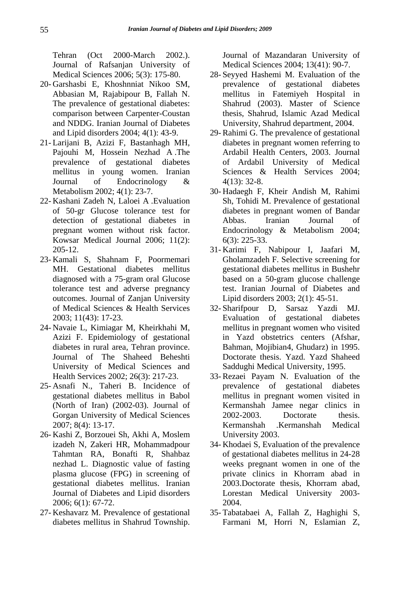Tehran (Oct 2000-March 2002.). Journal of Rafsanjan University of Medical Sciences 2006; 5(3): 175-80.

- 20- Garshasbi E, Khoshnniat Nikoo SM, Abbasian M, Rajabipour B, Fallah N. The prevalence of gestational diabetes: comparison between Carpenter-Coustan and NDDG. Iranian Journal of Diabetes and Lipid disorders 2004; 4(1): 43-9.
- 21- Larijani B, Azizi F, Bastanhagh MH, Pajouhi M, Hossein Nezhad A .The prevalence of gestational diabetes mellitus in young women. Iranian Journal of Endocrinology & Metabolism 2002; 4(1): 23-7.
- 22- Kashani Zadeh N, Laloei A .Evaluation of 50-gr Glucose tolerance test for detection of gestational diabetes in pregnant women without risk factor. Kowsar Medical Journal 2006; 11(2): 205-12.
- 23- Kamali S, Shahnam F, Poormemari MH. Gestational diabetes mellitus diagnosed with a 75-gram oral Glucose tolerance test and adverse pregnancy outcomes. Journal of Zanjan University of Medical Sciences & Health Services 2003; 11(43): 17-23.
- 24- Navaie L, Kimiagar M, Kheirkhahi M, Azizi F. Epidemiology of gestational diabetes in rural area, Tehran province. Journal of The Shaheed Beheshti University of Medical Sciences and Health Services 2002; 26(3): 217-23.
- 25- Asnafi N., Taheri B. Incidence of gestational diabetes mellitus in Babol (North of Iran) (2002-03). Journal of Gorgan University of Medical Sciences 2007; 8(4): 13-17.
- 26- Kashi Z, Borzouei Sh, Akhi A, Moslem izadeh N, Zakeri HR, Mohammadpour Tahmtan RA, Bonafti R, Shahbaz nezhad L. Diagnostic value of fasting plasma glucose (FPG) in screening of gestational diabetes mellitus. Iranian Journal of Diabetes and Lipid disorders 2006; 6(1): 67-72.
- 27- Keshavarz M. Prevalence of gestational diabetes mellitus in Shahrud Township.

Journal of Mazandaran University of Medical Sciences 2004; 13(41): 90-7.

- 28- Seyyed Hashemi M. Evaluation of the prevalence of gestational diabetes mellitus in Fatemiyeh Hospital in Shahrud (2003). Master of Science thesis, Shahrud, Islamic Azad Medical University, Shahrud department, 2004.
- 29- Rahimi G. The prevalence of gestational diabetes in pregnant women referring to Ardabil Health Centers, 2003. Journal of Ardabil University of Medical Sciences & Health Services 2004; 4(13): 32-8.
- 30- Hadaegh F, Kheir Andish M, Rahimi Sh, Tohidi M. Prevalence of gestational diabetes in pregnant women of Bandar Abbas. Iranian Journal of Endocrinology & Metabolism 2004; 6(3): 225-33.
- 31- Karimi F, Nabipour I, Jaafari M, Gholamzadeh F. Selective screening for gestational diabetes mellitus in Bushehr based on a 50-gram glucose challenge test. Iranian Journal of Diabetes and Lipid disorders 2003; 2(1): 45-51.
- 32- Sharifpour D, Sarsaz Yazdi MJ. Evaluation of gestational diabetes mellitus in pregnant women who visited in Yazd obstetrics centers (Afshar, Bahman, Mojibian4, Ghudarz) in 1995. Doctorate thesis. Yazd. Yazd Shaheed Saddughi Medical University, 1995.
- 33- Rezaei Payam N. Evaluation of the prevalence of gestational diabetes mellitus in pregnant women visited in Kermanshah Jamee negar clinics in 2002-2003. Doctorate thesis. Kermanshah .Kermanshah Medical University 2003.
- 34- Khodaei S, Evaluation of the prevalence of gestational diabetes mellitus in 24-28 weeks pregnant women in one of the private clinics in Khorram abad in 2003.Doctorate thesis, Khorram abad, Lorestan Medical University 2003- 2004.
- 35- Tabatabaei A, Fallah Z, Haghighi S, Farmani M, Horri N, Eslamian Z,